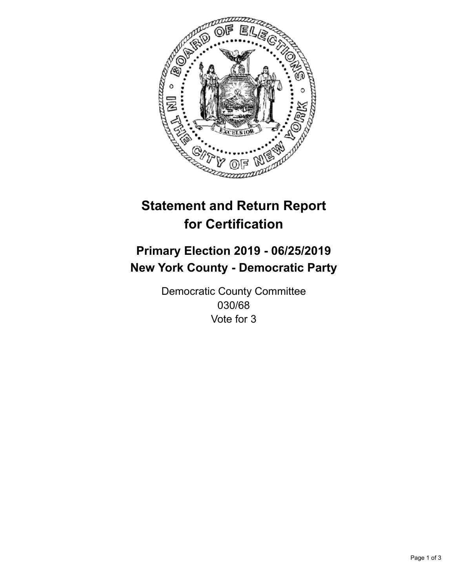

## **Statement and Return Report for Certification**

## **Primary Election 2019 - 06/25/2019 New York County - Democratic Party**

Democratic County Committee 030/68 Vote for 3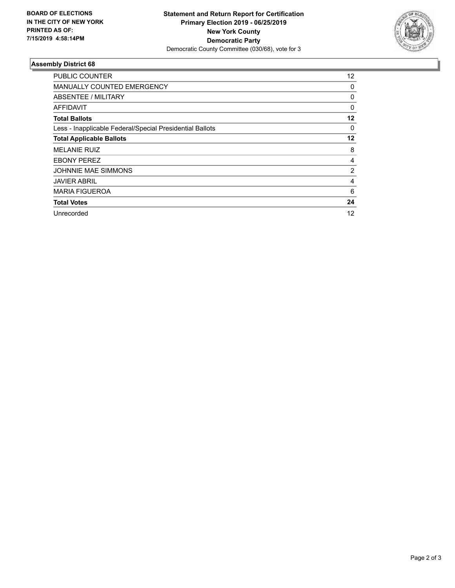

## **Assembly District 68**

| PUBLIC COUNTER                                           | $12 \overline{ }$ |
|----------------------------------------------------------|-------------------|
| <b>MANUALLY COUNTED EMERGENCY</b>                        | 0                 |
| ABSENTEE / MILITARY                                      | 0                 |
| <b>AFFIDAVIT</b>                                         | $\Omega$          |
| <b>Total Ballots</b>                                     | 12                |
| Less - Inapplicable Federal/Special Presidential Ballots | 0                 |
| <b>Total Applicable Ballots</b>                          | 12                |
| <b>MELANIE RUIZ</b>                                      | 8                 |
| <b>EBONY PEREZ</b>                                       | 4                 |
| <b>JOHNNIE MAE SIMMONS</b>                               | 2                 |
| <b>JAVIER ABRIL</b>                                      | 4                 |
| <b>MARIA FIGUEROA</b>                                    | 6                 |
| <b>Total Votes</b>                                       | 24                |
| Unrecorded                                               | 12                |